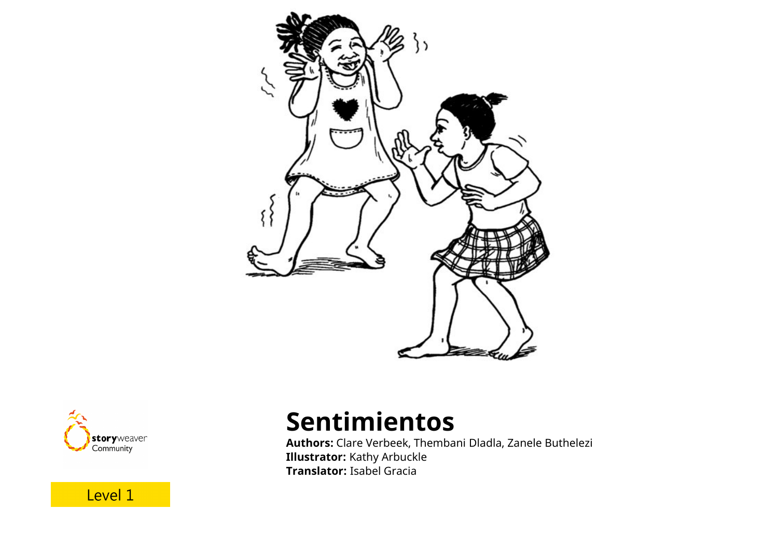



Level 1

## **Sentimientos**

**Authors:** Clare Verbeek, Thembani Dladla, Zanele Buthelezi **Illustrator:** Kathy Arbuckle **Translator:** Isabel Gracia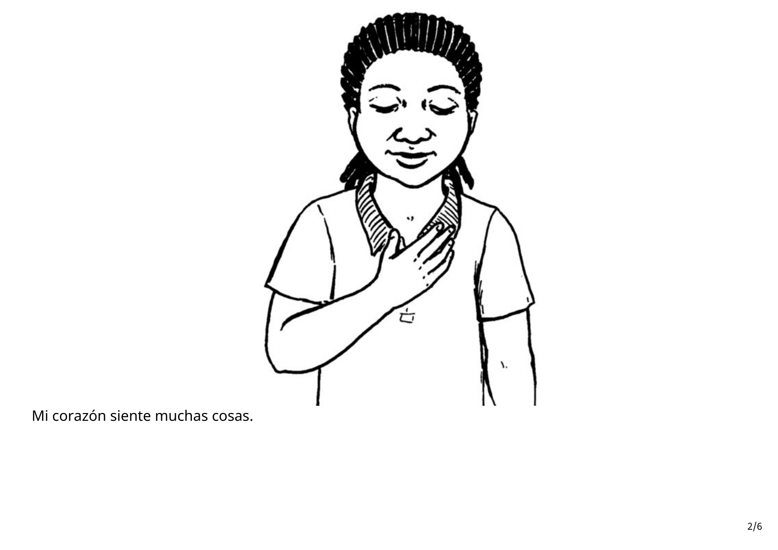

Mi corazón siente muchas cosas.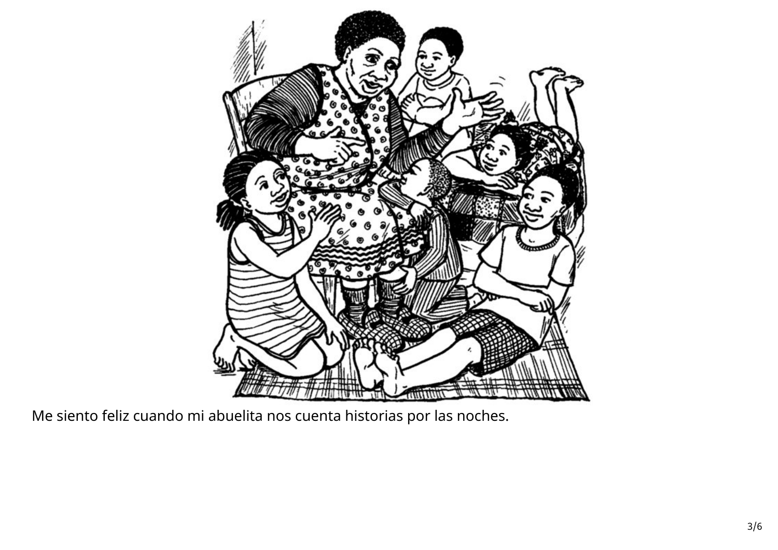

Me siento feliz cuando mi abuelita nos cuenta historias por las noches.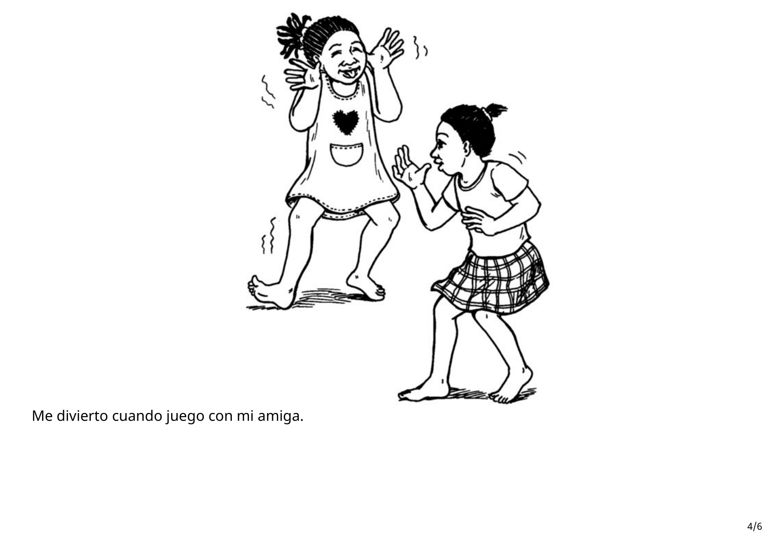

Me divierto cuando juego con mi amiga.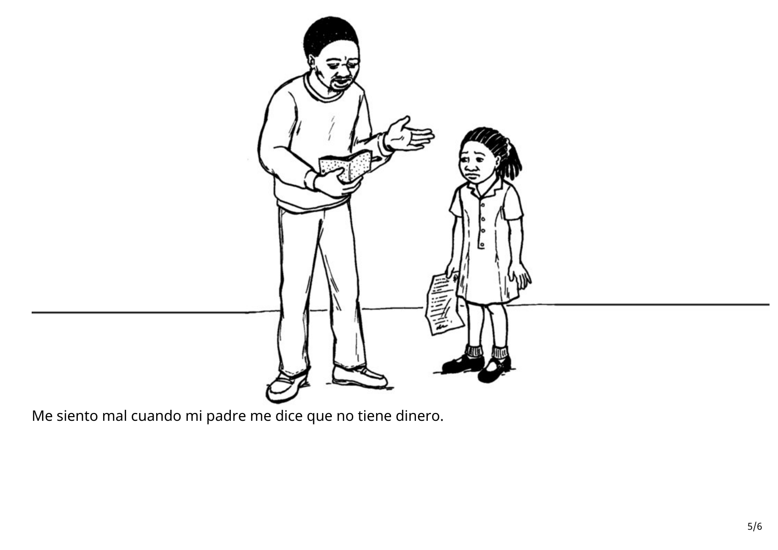

Me siento mal cuando mi padre me dice que no tiene dinero.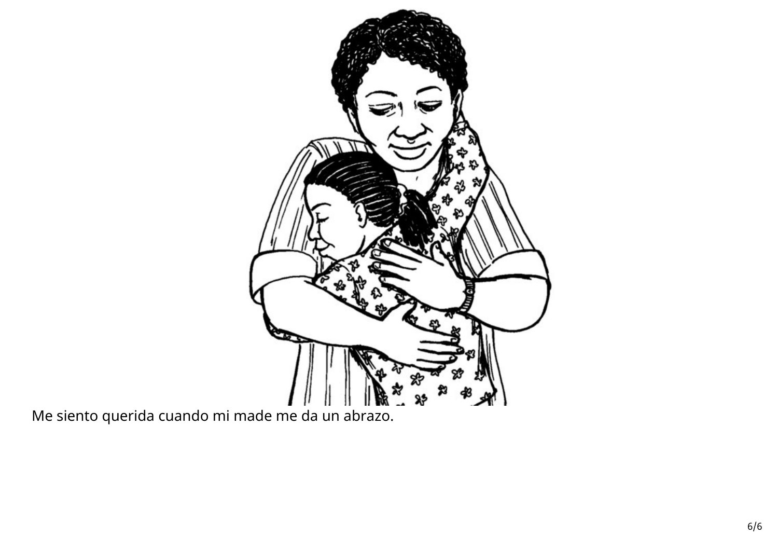

Me siento querida cuando mi made me da un abrazo.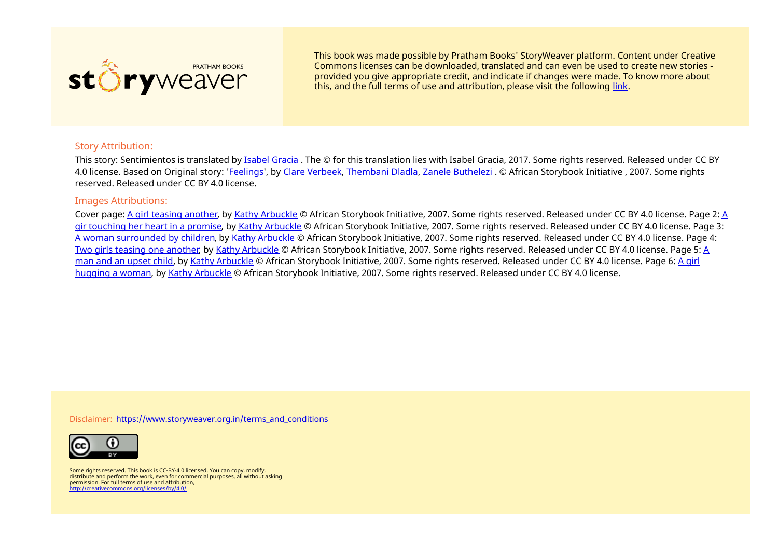

This book was made possible by Pratham Books' StoryWeaver platform. Content under Creative Commons licenses can be downloaded, translated and can even be used to create new stories ‐ provided you give appropriate credit, and indicate if changes were made. To know more about this, and the full terms of use and attribution, please visit the following [link](https://storyweaver.org.in/terms_and_conditions).

## Story Attribution:

This story: Sentimientos is translated by *Isabel [Gracia](https://storyweaver.org.in/users/20245-isabel-gracia)*. The © for this translation lies with Isabel Gracia, 2017. Some rights reserved. Released under CC BY 4.0 license. Based on Original story: ['Feelings](https://storyweaver.org.in/stories/15040-feelings)', by Clare [Verbeek](https://storyweaver.org.in/users/16169-clare-verbeek), [Thembani](https://storyweaver.org.in/users/16170-thembani-dladla) Dladla, Zanele [Buthelezi](https://storyweaver.org.in/users/16171-zanele-buthelezi) . © African Storybook Initiative , 2007. Some rights reserved. Released under CC BY 4.0 license.

## Images Attributions:

Cover page: A girl teasing [another](https://storyweaver.org.in/illustrations/7113-a-girl-teasing-another), by Kathy [Arbuckle](https://storyweaver.org.in/users/16097-kathy-arbuckle) © African [Storybook](https://storyweaver.org.in/illustrations/7114-a-gir-touching-her-heart-in-a-promise) Initiative, 2007. Some rights reserved. Released under CC BY 4.0 license. Page 2: A gir touching her heart in a promise, by Kathy [Arbuckle](https://storyweaver.org.in/users/16097-kathy-arbuckle) © African Storybook Initiative, 2007. Some rights reserved. Released under CC BY 4.0 license. Page 3: A woman [surrounded](https://storyweaver.org.in/illustrations/7115-a-woman-surrounded-by-children) by children, by Kathy [Arbuckle](https://storyweaver.org.in/users/16097-kathy-arbuckle) © African Storybook Initiative, 2007. Some rights reserved. Released under CC BY 4.0 license. Page 4: Two girls teasing one [another](https://storyweaver.org.in/illustrations/7116-two-girls-teasing-one-another), by Kathy [Arbuckle](https://storyweaver.org.in/users/16097-kathy-arbuckle) © African Storybook Initiative, 2007. Some rights reserved. Released under CC BY 4.0 license. Page 5: A man and an upset child, by Kathy [Arbuckle](https://storyweaver.org.in/users/16097-kathy-arbuckle) © African [Storybook](https://storyweaver.org.in/illustrations/7117-a-man-and-an-upset-child) Initiative, 2007. Some rights reserved. Released under CC BY 4.0 license. Page 6: A girl hugging a woman, by Kathy [Arbuckle](https://storyweaver.org.in/users/16097-kathy-arbuckle) © African Storybook Initiative, 2007. Some rights reserved. Released under CC BY 4.0 license.

Disclaimer: [https://www.storyweaver.org.in/terms\\_and\\_conditions](https://storyweaver.org.in/terms_and_conditions)



Some rights reserved. This book is CC-BY-4.0 licensed. You can copy, modify, distribute and perform the work, even for commercial purposes, all without asking permission. For full terms of use and attribution, <http://creativecommons.org/licenses/by/4.0/>